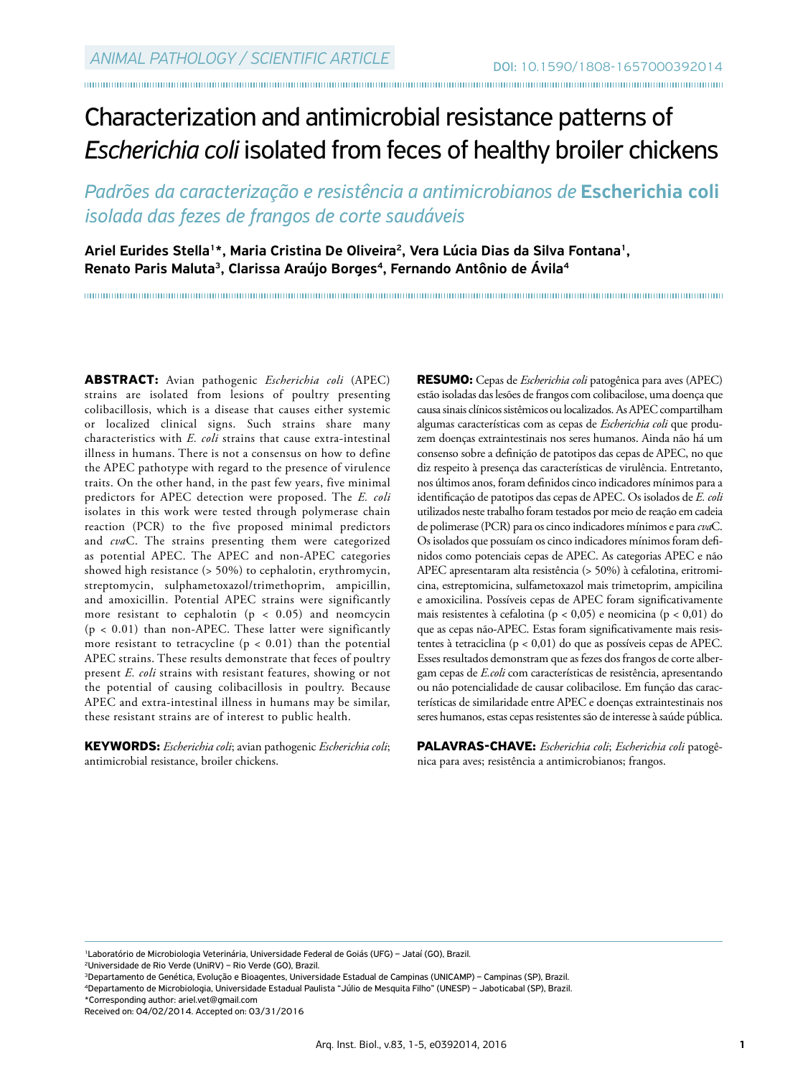# Characterization and antimicrobial resistance patterns of *Escherichia coli* isolated from feces of healthy broiler chickens

*Padrões da caracterização e resistência a antimicrobianos de* Escherichia coli *isolada das fezes de frangos de corte saudáveis*

Ariel Eurides Stella<sup>1\*</sup>, Maria Cristina De Oliveira<sup>2</sup>, Vera Lúcia Dias da Silva Fontana<sup>1</sup>, Renato Paris Maluta<sup>3</sup>, Clarissa Araújo Borges<sup>4</sup>, Fernando Antônio de Ávila<sup>4</sup>

**ABSTRACT:** Avian pathogenic *Escherichia coli* (APEC) strains are isolated from lesions of poultry presenting colibacillosis, which is a disease that causes either systemic or localized clinical signs. Such strains share many characteristics with *E. coli* strains that cause extra-intestinal illness in humans. There is not a consensus on how to define the APEC pathotype with regard to the presence of virulence traits. On the other hand, in the past few years, five minimal predictors for APEC detection were proposed. The *E. coli* isolates in this work were tested through polymerase chain reaction (PCR) to the five proposed minimal predictors and *cva*C. The strains presenting them were categorized as potential APEC. The APEC and non-APEC categories showed high resistance (> 50%) to cephalotin, erythromycin, streptomycin, sulphametoxazol/trimethoprim, ampicillin, and amoxicillin. Potential APEC strains were significantly more resistant to cephalotin ( $p < 0.05$ ) and neomcycin  $(p < 0.01)$  than non-APEC. These latter were significantly more resistant to tetracycline ( $p < 0.01$ ) than the potential APEC strains. These results demonstrate that feces of poultry present *E. coli* strains with resistant features, showing or not the potential of causing colibacillosis in poultry. Because APEC and extra-intestinal illness in humans may be similar, these resistant strains are of interest to public health.

**KEYWORDS:** *Escherichia coli*; avian pathogenic *Escherichia coli*; antimicrobial resistance, broiler chickens.

**RESUMO:** Cepas de *Escherichia coli* patogênica para aves (APEC) estão isoladas das lesões de frangos com colibacilose, uma doença que causa sinais clínicos sistêmicos ou localizados. As APEC compartilham algumas características com as cepas de *Escherichia coli* que produzem doenças extraintestinais nos seres humanos. Ainda não há um consenso sobre a definição de patotipos das cepas de APEC, no que diz respeito à presença das características de virulência. Entretanto, nos últimos anos, foram definidos cinco indicadores mínimos para a identificação de patotipos das cepas de APEC. Os isolados de *E. coli* utilizados neste trabalho foram testados por meio de reação em cadeia de polimerase (PCR) para os cinco indicadores mínimos e para *cva*C. Os isolados que possuíam os cinco indicadores mínimos foram definidos como potenciais cepas de APEC. As categorias APEC e não APEC apresentaram alta resistência (> 50%) à cefalotina, eritromicina, estreptomicina, sulfametoxazol mais trimetoprim, ampicilina e amoxicilina. Possíveis cepas de APEC foram significativamente mais resistentes à cefalotina (p < 0,05) e neomicina (p < 0,01) do que as cepas não-APEC. Estas foram significativamente mais resistentes à tetraciclina (p < 0,01) do que as possíveis cepas de APEC. Esses resultados demonstram que as fezes dos frangos de corte albergam cepas de *E.coli* com características de resistência, apresentando ou não potencialidade de causar colibacilose. Em função das características de similaridade entre APEC e doenças extraintestinais nos seres humanos, estas cepas resistentes são de interesse à saúde pública.

**PALAVRAS-CHAVE:** *Escherichia coli*; *Escherichia coli* patogênica para aves; resistência a antimicrobianos; frangos.

1Laboratório de Microbiologia Veterinária, Universidade Federal de Goiás (UFG) – Jataí (GO), Brazil.

<sup>2</sup>Universidade de Rio Verde (UniRV) – Rio Verde (GO), Brazil.<br><sup>3</sup>Departamento de Genética, Evolução e Bioagentes, Universidade Estadual de Campinas (UNICAMP) – Campinas (SP), Brazil.

<sup>4</sup>Departamento de Microbiologia, Universidade Estadual Paulista "Júlio de Mesquita Filho" (UNESP) - Jaboticabal (SP), Brazil.

\*Corresponding author: ariel.vet@gmail.com

Received on: 04/02/2014. Accepted on: 03/31/2016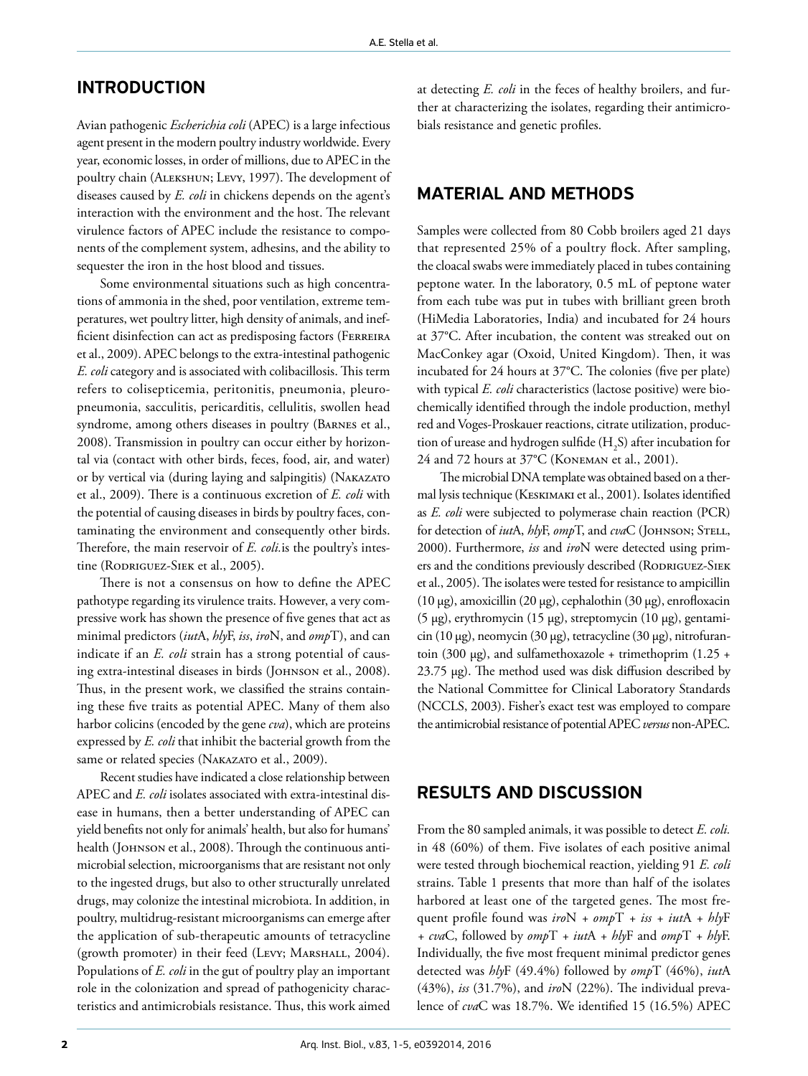# INTRODUCTION

Avian pathogenic *Escherichia coli* (APEC) is a large infectious agent present in the modern poultry industry worldwide. Every year, economic losses, in order of millions, due to APEC in the poultry chain (Alekshun; Levy, 1997). The development of diseases caused by *E. coli* in chickens depends on the agent's interaction with the environment and the host. The relevant virulence factors of APEC include the resistance to components of the complement system, adhesins, and the ability to sequester the iron in the host blood and tissues.

Some environmental situations such as high concentrations of ammonia in the shed, poor ventilation, extreme temperatures, wet poultry litter, high density of animals, and inefficient disinfection can act as predisposing factors (FERREIRA et al., 2009). APEC belongs to the extra-intestinal pathogenic *E. coli* category and is associated with colibacillosis. This term refers to colisepticemia, peritonitis, pneumonia, pleuropneumonia, sacculitis, pericarditis, cellulitis, swollen head syndrome, among others diseases in poultry (Barnes et al., 2008). Transmission in poultry can occur either by horizontal via (contact with other birds, feces, food, air, and water) or by vertical via (during laying and salpingitis) (Nakazato et al., 2009). There is a continuous excretion of *E. coli* with the potential of causing diseases in birds by poultry faces, contaminating the environment and consequently other birds. Therefore, the main reservoir of *E. coli.*is the poultry's intestine (RODRIGUEZ-SIEK et al., 2005).

There is not a consensus on how to define the APEC pathotype regarding its virulence traits. However, a very compressive work has shown the presence of five genes that act as minimal predictors (*iut*A, *hly*F, *iss*, *iro*N, and *omp*T), and can indicate if an *E. coli* strain has a strong potential of causing extra-intestinal diseases in birds (JOHNSON et al., 2008). Thus, in the present work, we classified the strains containing these five traits as potential APEC. Many of them also harbor colicins (encoded by the gene *cva*), which are proteins expressed by *E. coli* that inhibit the bacterial growth from the same or related species (NAKAZATO et al., 2009).

Recent studies have indicated a close relationship between APEC and *E. coli* isolates associated with extra-intestinal disease in humans, then a better understanding of APEC can yield benefits not only for animals' health, but also for humans' health (JOHNSON et al., 2008). Through the continuous antimicrobial selection, microorganisms that are resistant not only to the ingested drugs, but also to other structurally unrelated drugs, may colonize the intestinal microbiota. In addition, in poultry, multidrug-resistant microorganisms can emerge after the application of sub-therapeutic amounts of tetracycline (growth promoter) in their feed (Levy; Marshall, 2004). Populations of *E. coli* in the gut of poultry play an important role in the colonization and spread of pathogenicity characteristics and antimicrobials resistance. Thus, this work aimed

at detecting *E. coli* in the feces of healthy broilers, and further at characterizing the isolates, regarding their antimicrobials resistance and genetic profiles.

## MATERIAL AND METHODS

Samples were collected from 80 Cobb broilers aged 21 days that represented 25% of a poultry flock. After sampling, the cloacal swabs were immediately placed in tubes containing peptone water. In the laboratory, 0.5 mL of peptone water from each tube was put in tubes with brilliant green broth (HiMedia Laboratories, India) and incubated for 24 hours at 37°C. After incubation, the content was streaked out on MacConkey agar (Oxoid, United Kingdom). Then, it was incubated for 24 hours at 37°C. The colonies (five per plate) with typical *E. coli* characteristics (lactose positive) were biochemically identified through the indole production, methyl red and Voges-Proskauer reactions, citrate utilization, production of urease and hydrogen sulfide  $(H<sub>2</sub>S)$  after incubation for 24 and 72 hours at 37°C (Koneman et al., 2001).

The microbial DNA template was obtained based on a thermal lysis technique (Keskimaki et al., 2001). Isolates identified as *E. coli* were subjected to polymerase chain reaction (PCR) for detection of *iut*A, hlyF, ompT, and cvaC (JOHNSON; STELL, 2000). Furthermore, *iss* and *iro*N were detected using primers and the conditions previously described (RODRIGUEZ-SIEK et al., 2005). The isolates were tested for resistance to ampicillin (10 µg), amoxicillin (20 µg), cephalothin (30 µg), enrofloxacin (5 µg), erythromycin (15 µg), streptomycin (10 µg), gentamicin (10 µg), neomycin (30 µg), tetracycline (30 µg), nitrofurantoin (300  $\mu$ g), and sulfamethoxazole + trimethoprim (1.25 + 23.75 µg). The method used was disk diffusion described by the National Committee for Clinical Laboratory Standards (NCCLS, 2003). Fisher's exact test was employed to compare the antimicrobial resistance of potential APEC *versus* non-APEC.

## RESULTS AND DISCUSSION

From the 80 sampled animals, it was possible to detect *E. coli.* in 48 (60%) of them. Five isolates of each positive animal were tested through biochemical reaction, yielding 91 *E. coli*  strains. Table 1 presents that more than half of the isolates harbored at least one of the targeted genes. The most frequent profile found was *iro*N *+ omp*T *+ iss + iut*A *+ hly*F *+ cva*C, followed by *omp*T *+ iut*A *+ hly*F and *omp*T *+ hly*F. Individually, the five most frequent minimal predictor genes detected was *hly*F (49.4%) followed by *omp*T (46%), *iut*A (43%), *iss* (31.7%), and *iro*N (22%). The individual prevalence of *cva*C was 18.7%. We identified 15 (16.5%) APEC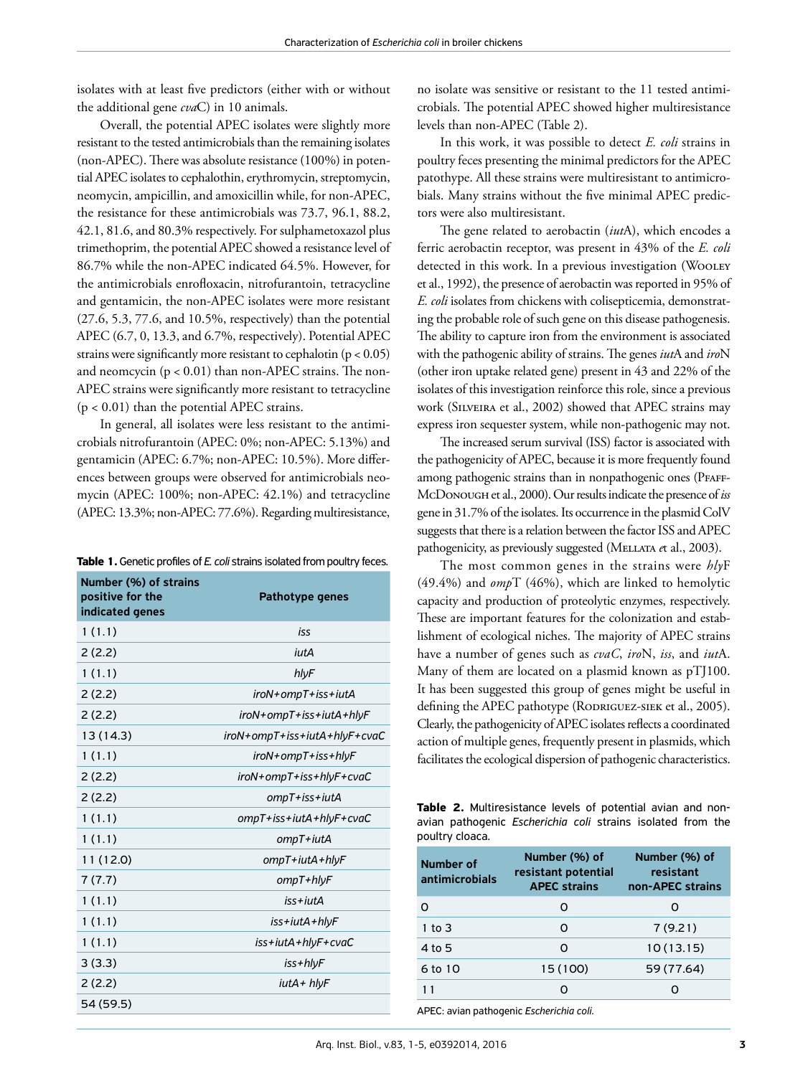isolates with at least five predictors (either with or without the additional gene *cva*C) in 10 animals.

Overall, the potential APEC isolates were slightly more resistant to the tested antimicrobials than the remaining isolates (non-APEC). There was absolute resistance (100%) in potential APEC isolates to cephalothin, erythromycin, streptomycin, neomycin, ampicillin, and amoxicillin while, for non-APEC, the resistance for these antimicrobials was 73.7, 96.1, 88.2, 42.1, 81.6, and 80.3% respectively. For sulphametoxazol plus trimethoprim, the potential APEC showed a resistance level of 86.7% while the non-APEC indicated 64.5%. However, for the antimicrobials enrofloxacin, nitrofurantoin, tetracycline and gentamicin, the non-APEC isolates were more resistant (27.6, 5.3, 77.6, and 10.5%, respectively) than the potential APEC (6.7, 0, 13.3, and 6.7%, respectively). Potential APEC strains were significantly more resistant to cephalotin ( $p < 0.05$ ) and neomcycin  $(p < 0.01)$  than non-APEC strains. The non-APEC strains were significantly more resistant to tetracycline  $(p < 0.01)$  than the potential APEC strains.

In general, all isolates were less resistant to the antimicrobials nitrofurantoin (APEC: 0%; non-APEC: 5.13%) and gentamicin (APEC: 6.7%; non-APEC: 10.5%). More differences between groups were observed for antimicrobials neomycin (APEC: 100%; non-APEC: 42.1%) and tetracycline (APEC: 13.3%; non-APEC: 77.6%). Regarding multiresistance,

| Table 1. Genetic profiles of E. coli strains isolated from poultry feces. |  |
|---------------------------------------------------------------------------|--|
|---------------------------------------------------------------------------|--|

| Number (%) of strains<br>positive for the<br>indicated genes | Pathotype genes              |
|--------------------------------------------------------------|------------------------------|
| 1(1.1)                                                       | iss                          |
| 2(2.2)                                                       | iutA                         |
| 1(1.1)                                                       | hlyF                         |
| 2(2.2)                                                       | iroN+ompT+iss+iutA           |
| 2(2.2)                                                       | iroN+ompT+iss+iutA+hlyF      |
| 13 (14.3)                                                    | iroN+ompT+iss+iutA+hlyF+cvaC |
| 1(1.1)                                                       | iroN+ompT+iss+hlyF           |
| 2(2.2)                                                       | iroN+ompT+iss+hlyF+cvaC      |
| 2(2.2)                                                       | ompT+iss+iutA                |
| 1(1.1)                                                       | ompT+iss+iutA+hlyF+cvaC      |
| 1(1.1)                                                       | ompT+iutA                    |
| 11 (12.0)                                                    | ompT+iutA+hlyF               |
| 7(7.7)                                                       | $ompT + h l vF$              |
| 1(1.1)                                                       | $is$ s + $i$ ut $A$          |
| 1(1.1)                                                       | iss+iutA+hlyF                |
| 1(1.1)                                                       | iss+iutA+hlyF+cvaC           |
| 3(3.3)                                                       | iss+hlyF                     |
| 2(2.2)                                                       | iutA+ hlyF                   |
| 54 (59.5)                                                    |                              |

no isolate was sensitive or resistant to the 11 tested antimicrobials. The potential APEC showed higher multiresistance levels than non-APEC (Table 2).

In this work, it was possible to detect *E. coli* strains in poultry feces presenting the minimal predictors for the APEC patothype. All these strains were multiresistant to antimicrobials. Many strains without the five minimal APEC predictors were also multiresistant.

The gene related to aerobactin (*iut*A), which encodes a ferric aerobactin receptor, was present in 43% of the *E. coli*  detected in this work. In a previous investigation (WOOLEY et al., 1992), the presence of aerobactin was reported in 95% of *E. coli* isolates from chickens with colisepticemia, demonstrating the probable role of such gene on this disease pathogenesis. The ability to capture iron from the environment is associated with the pathogenic ability of strains. The genes *iut*A and *iro*N (other iron uptake related gene) present in 43 and 22% of the isolates of this investigation reinforce this role, since a previous work (Silveira et al., 2002) showed that APEC strains may express iron sequester system, while non-pathogenic may not.

The increased serum survival (ISS) factor is associated with the pathogenicity of APEC, because it is more frequently found among pathogenic strains than in nonpathogenic ones (PFAFF-McDonough et al., 2000). Our results indicate the presence of *iss*  gene in 31.7% of the isolates. Its occurrence in the plasmid ColV suggests that there is a relation between the factor ISS and APEC pathogenicity, as previously suggested (Mellata *e*t al., 2003).

The most common genes in the strains were *hly*F (49.4%) and *omp*T (46%), which are linked to hemolytic capacity and production of proteolytic enzymes, respectively. These are important features for the colonization and establishment of ecological niches. The majority of APEC strains have a number of genes such as *cvaC*, *iro*N, *iss*, and *iut*A. Many of them are located on a plasmid known as pTJ100. It has been suggested this group of genes might be useful in defining the APEC pathotype (RODRIGUEZ-SIEK et al., 2005). Clearly, the pathogenicity of APEC isolates reflects a coordinated action of multiple genes, frequently present in plasmids, which facilitates the ecological dispersion of pathogenic characteristics.

| <b>Table 2.</b> Multiresistance levels of potential avian and non- |  |  |  |
|--------------------------------------------------------------------|--|--|--|
| avian pathogenic Escherichia coli strains isolated from the        |  |  |  |
| poultry cloaca.                                                    |  |  |  |

| Number of<br>antimicrobials | Number (%) of<br>resistant potential<br><b>APEC strains</b> | Number (%) of<br>resistant<br>non-APEC strains |
|-----------------------------|-------------------------------------------------------------|------------------------------------------------|
| O                           | Ω                                                           |                                                |
| 1 to $3$                    | 0                                                           | 7(9.21)                                        |
| 4 to 5                      | ∩                                                           | 10(13.15)                                      |
| 6 to 10                     | 15 (100)                                                    | 59 (77.64)                                     |
| 11                          |                                                             |                                                |

APEC: avian pathogenic *Escherichia coli*.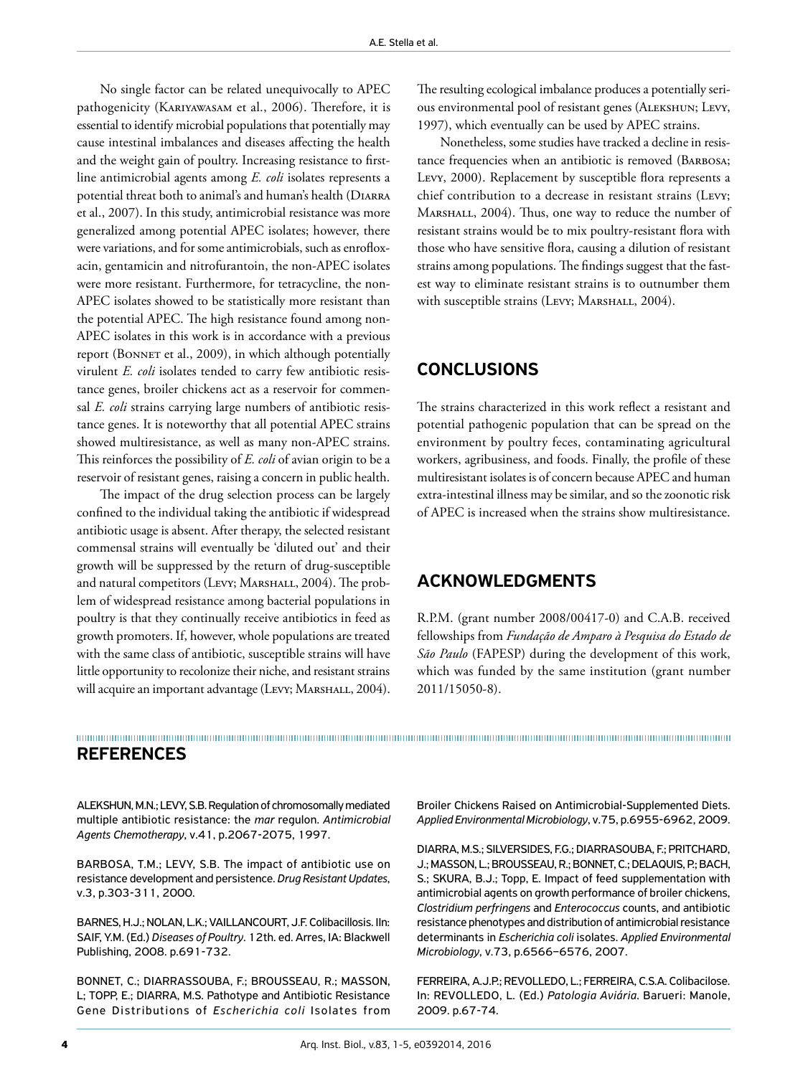No single factor can be related unequivocally to APEC pathogenicity (KARIYAWASAM et al., 2006). Therefore, it is essential to identify microbial populations that potentially may cause intestinal imbalances and diseases affecting the health and the weight gain of poultry. Increasing resistance to firstline antimicrobial agents among *E. coli* isolates represents a potential threat both to animal's and human's health (Diarra et al., 2007). In this study, antimicrobial resistance was more generalized among potential APEC isolates; however, there were variations, and for some antimicrobials, such as enrofloxacin, gentamicin and nitrofurantoin, the non-APEC isolates were more resistant. Furthermore, for tetracycline, the non-APEC isolates showed to be statistically more resistant than the potential APEC. The high resistance found among non-APEC isolates in this work is in accordance with a previous report (BONNET et al., 2009), in which although potentially virulent *E. coli* isolates tended to carry few antibiotic resistance genes, broiler chickens act as a reservoir for commensal *E. coli* strains carrying large numbers of antibiotic resistance genes. It is noteworthy that all potential APEC strains showed multiresistance, as well as many non-APEC strains. This reinforces the possibility of *E. coli* of avian origin to be a reservoir of resistant genes, raising a concern in public health.

The impact of the drug selection process can be largely confined to the individual taking the antibiotic if widespread antibiotic usage is absent. After therapy, the selected resistant commensal strains will eventually be 'diluted out' and their growth will be suppressed by the return of drug-susceptible and natural competitors (Levy; MARSHALL, 2004). The problem of widespread resistance among bacterial populations in poultry is that they continually receive antibiotics in feed as growth promoters. If, however, whole populations are treated with the same class of antibiotic, susceptible strains will have little opportunity to recolonize their niche, and resistant strains will acquire an important advantage (Levy; MARSHALL, 2004).

The resulting ecological imbalance produces a potentially serious environmental pool of resistant genes (Alekshun; Levy, 1997), which eventually can be used by APEC strains.

Nonetheless, some studies have tracked a decline in resistance frequencies when an antibiotic is removed (Barbosa; Levy, 2000). Replacement by susceptible flora represents a chief contribution to a decrease in resistant strains (Levy; MARSHALL, 2004). Thus, one way to reduce the number of resistant strains would be to mix poultry-resistant flora with those who have sensitive flora, causing a dilution of resistant strains among populations. The findings suggest that the fastest way to eliminate resistant strains is to outnumber them with susceptible strains (Levy; MARSHALL, 2004).

#### CONCLUSIONS

The strains characterized in this work reflect a resistant and potential pathogenic population that can be spread on the environment by poultry feces, contaminating agricultural workers, agribusiness, and foods. Finally, the profile of these multiresistant isolates is of concern because APEC and human extra-intestinal illness may be similar, and so the zoonotic risk of APEC is increased when the strains show multiresistance.

#### ACKNOWLEDGMENTS

R.P.M. (grant number 2008/00417-0) and C.A.B. received fellowships from *Fundação de Amparo à Pesquisa do Estado de São Paulo* (FAPESP) during the development of this work, which was funded by the same institution (grant number 2011/15050-8).

#### REFERENCES

ALEKSHUN, M.N.; LEVY, S.B. Regulation of chromosomally mediated multiple antibiotic resistance: the *mar* regulon. *Antimicrobial Agents Chemotherapy*, v.41, p.2067-2075, 1997.

BARBOSA, T.M.; LEVY, S.B. The impact of antibiotic use on resistance development and persistence. *Drug Resistant Updates*, v.3, p.303-311, 2000.

BARNES, H.J.; NOLAN, L.K.; VAILLANCOURT, J.F. Colibacillosis. IIn: SAIF, Y.M. (Ed.) *Diseases of Poultry*. 12th. ed. Arres, IA: Blackwell Publishing, 2008. p.691-732.

BONNET, C.; DIARRASSOUBA, F.; BROUSSEAU, R.; MASSON, L; TOPP, E.; DIARRA, M.S. Pathotype and Antibiotic Resistance Gene Distributions of *Escherichia coli* Isolates from

Broiler Chickens Raised on Antimicrobial-Supplemented Diets. *Applied Environmental Microbiology*, v.75, p.6955-6962, 2009.

DIARRA, M.S.; SILVERSIDES, F.G.; DIARRASOUBA, F.; PRITCHARD, J.; MASSON, L.; BROUSSEAU, R.; BONNET, C.; DELAQUIS, P.; BACH, S.; SKURA, B.J.; Topp, E. Impact of feed supplementation with antimicrobial agents on growth performance of broiler chickens, *Clostridium perfringens* and *Enterococcus* counts, and antibiotic resistance phenotypes and distribution of antimicrobial resistance determinants in *Escherichia coli* isolates. *Applied Environmental Microbiology*, v.73, p.6566–6576, 2007.

FERREIRA, A.J.P.; REVOLLEDO, L.; FERREIRA, C.S.A. Colibacilose. In: REVOLLEDO, L. (Ed.) *Patologia Aviária*. Barueri: Manole, 2009. p.67-74.